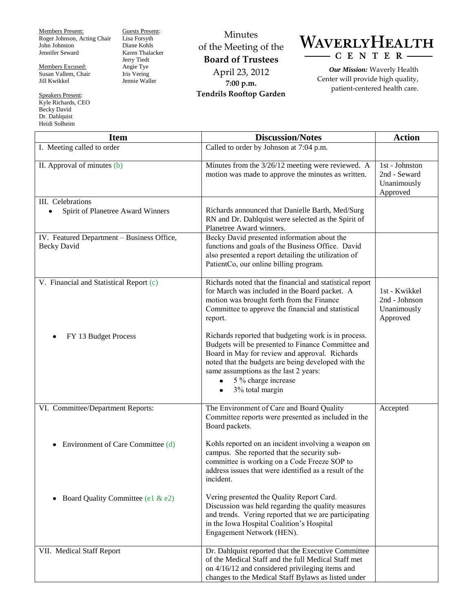Members Present: Roger Johnson, Acting Chair John Johnston Jennifer Seward

Members Excused: Susan Vallem, Chair Jill Kwikkel

Speakers Present: Kyle Richards, CEO Becky David Dr. Dahlquist Heidi Solheim

Guests Present: Lisa Forsyth Diane Kohls Karen Thalacker Jerry Tiedt Angie Tye Iris Vering Jennie Waller

Minutes of the Meeting of the **Board of Trustees** April 23, 2012 **7:00 p.m. Tendrils Rooftop Garden**



*Our Mission:* Waverly Health Center will provide high quality, patient-centered health care.

| <b>Item</b>                                                      | <b>Discussion/Notes</b>                                                                                                                                                                                                                                                                                                          | <b>Action</b>                                             |
|------------------------------------------------------------------|----------------------------------------------------------------------------------------------------------------------------------------------------------------------------------------------------------------------------------------------------------------------------------------------------------------------------------|-----------------------------------------------------------|
| I. Meeting called to order                                       | Called to order by Johnson at 7:04 p.m.                                                                                                                                                                                                                                                                                          |                                                           |
| II. Approval of minutes (b)                                      | Minutes from the 3/26/12 meeting were reviewed. A<br>motion was made to approve the minutes as written.                                                                                                                                                                                                                          | 1st - Johnston<br>2nd - Seward<br>Unanimously<br>Approved |
| III. Celebrations<br>Spirit of Planetree Award Winners           | Richards announced that Danielle Barth, Med/Surg<br>RN and Dr. Dahlquist were selected as the Spirit of<br>Planetree Award winners.                                                                                                                                                                                              |                                                           |
| IV. Featured Department - Business Office,<br><b>Becky David</b> | Becky David presented information about the<br>functions and goals of the Business Office. David<br>also presented a report detailing the utilization of<br>PatientCo, our online billing program.                                                                                                                               |                                                           |
| V. Financial and Statistical Report (c)                          | Richards noted that the financial and statistical report<br>for March was included in the Board packet. A<br>motion was brought forth from the Finance<br>Committee to approve the financial and statistical<br>report.                                                                                                          | 1st - Kwikkel<br>2nd - Johnson<br>Unanimously<br>Approved |
| FY 13 Budget Process                                             | Richards reported that budgeting work is in process.<br>Budgets will be presented to Finance Committee and<br>Board in May for review and approval. Richards<br>noted that the budgets are being developed with the<br>same assumptions as the last 2 years:<br>5 % charge increase<br>$\bullet$<br>3% total margin<br>$\bullet$ |                                                           |
| VI. Committee/Department Reports:                                | The Environment of Care and Board Quality<br>Committee reports were presented as included in the<br>Board packets.                                                                                                                                                                                                               | Accepted                                                  |
| Environment of Care Committee (d)                                | Kohls reported on an incident involving a weapon on<br>campus. She reported that the security sub-<br>committee is working on a Code Freeze SOP to<br>address issues that were identified as a result of the<br>incident.                                                                                                        |                                                           |
| Board Quality Committee (e1 & e2)<br>٠                           | Vering presented the Quality Report Card.<br>Discussion was held regarding the quality measures<br>and trends. Vering reported that we are participating<br>in the Iowa Hospital Coalition's Hospital<br>Engagement Network (HEN).                                                                                               |                                                           |
| VII. Medical Staff Report                                        | Dr. Dahlquist reported that the Executive Committee<br>of the Medical Staff and the full Medical Staff met<br>on 4/16/12 and considered privileging items and<br>changes to the Medical Staff Bylaws as listed under                                                                                                             |                                                           |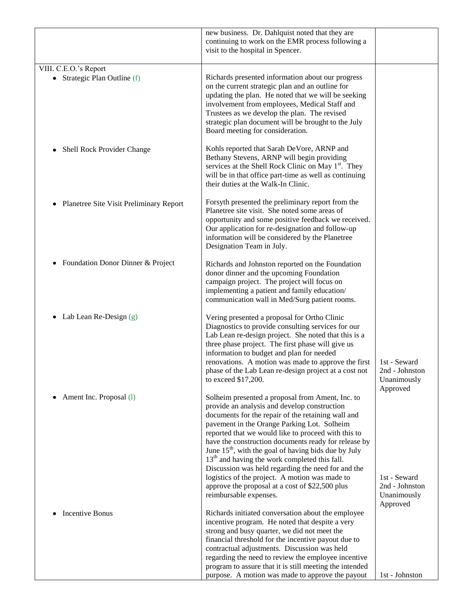|                                                | new business. Dr. Dahlquist noted that they are                                                             |                               |
|------------------------------------------------|-------------------------------------------------------------------------------------------------------------|-------------------------------|
|                                                | continuing to work on the EMR process following a<br>visit to the hospital in Spencer.                      |                               |
|                                                |                                                                                                             |                               |
| VIII. C.E.O.'s Report                          |                                                                                                             |                               |
| • Strategic Plan Outline (f)                   | Richards presented information about our progress                                                           |                               |
|                                                | on the current strategic plan and an outline for                                                            |                               |
|                                                | updating the plan. He noted that we will be seeking<br>involvement from employees, Medical Staff and        |                               |
|                                                | Trustees as we develop the plan. The revised                                                                |                               |
|                                                | strategic plan document will be brought to the July                                                         |                               |
|                                                | Board meeting for consideration.                                                                            |                               |
| Shell Rock Provider Change<br>٠                | Kohls reported that Sarah DeVore, ARNP and                                                                  |                               |
|                                                | Bethany Stevens, ARNP will begin providing                                                                  |                               |
|                                                | services at the Shell Rock Clinic on May 1 <sup>st</sup> . They                                             |                               |
|                                                | will be in that office part-time as well as continuing                                                      |                               |
|                                                | their duties at the Walk-In Clinic.                                                                         |                               |
| Planetree Site Visit Preliminary Report<br>٠   | Forsyth presented the preliminary report from the                                                           |                               |
|                                                | Planetree site visit. She noted some areas of                                                               |                               |
|                                                | opportunity and some positive feedback we received.<br>Our application for re-designation and follow-up     |                               |
|                                                | information will be considered by the Planetree                                                             |                               |
|                                                | Designation Team in July.                                                                                   |                               |
| Foundation Donor Dinner & Project<br>$\bullet$ |                                                                                                             |                               |
|                                                | Richards and Johnston reported on the Foundation<br>donor dinner and the upcoming Foundation                |                               |
|                                                | campaign project. The project will focus on                                                                 |                               |
|                                                | implementing a patient and family education/                                                                |                               |
|                                                | communication wall in Med/Surg patient rooms.                                                               |                               |
| Lab Lean Re-Design (g)<br>٠                    | Vering presented a proposal for Ortho Clinic                                                                |                               |
|                                                | Diagnostics to provide consulting services for our                                                          |                               |
|                                                | Lab Lean re-design project. She noted that this is a                                                        |                               |
|                                                | three phase project. The first phase will give us<br>information to budget and plan for needed              |                               |
|                                                | renovations. A motion was made to approve the first                                                         | 1st - Seward                  |
|                                                | phase of the Lab Lean re-design project at a cost not                                                       | 2nd - Johnston                |
|                                                | to exceed \$17,200.                                                                                         | Unanimously                   |
| Ament Inc. Proposal (1)                        | Solheim presented a proposal from Ament, Inc. to                                                            | Approved                      |
|                                                | provide an analysis and develop construction                                                                |                               |
|                                                | documents for the repair of the retaining wall and                                                          |                               |
|                                                | pavement in the Orange Parking Lot. Solheim                                                                 |                               |
|                                                | reported that we would like to proceed with this to<br>have the construction documents ready for release by |                               |
|                                                | June 15 <sup>th</sup> , with the goal of having bids due by July                                            |                               |
|                                                | $13th$ and having the work completed this fall.                                                             |                               |
|                                                | Discussion was held regarding the need for and the                                                          |                               |
|                                                | logistics of the project. A motion was made to                                                              | 1st - Seward                  |
|                                                | approve the proposal at a cost of \$22,500 plus<br>reimbursable expenses.                                   | 2nd - Johnston<br>Unanimously |
|                                                |                                                                                                             | Approved                      |
| Incentive Bonus                                | Richards initiated conversation about the employee                                                          |                               |
|                                                | incentive program. He noted that despite a very                                                             |                               |
|                                                | strong and busy quarter, we did not meet the<br>financial threshold for the incentive payout due to         |                               |
|                                                | contractual adjustments. Discussion was held                                                                |                               |
|                                                | regarding the need to review the employee incentive                                                         |                               |
|                                                | program to assure that it is still meeting the intended                                                     |                               |
|                                                | purpose. A motion was made to approve the payout                                                            | 1st - Johnston                |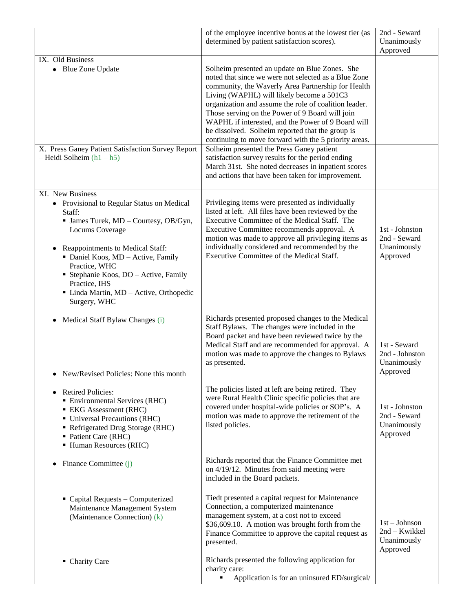|                                                                                                                                                                                                                                                                                                                                                         | of the employee incentive bonus at the lowest tier (as<br>determined by patient satisfaction scores).                                                                                                                                                                                                                                                                                                                                                                                    | 2nd - Seward<br>Unanimously<br>Approved                     |
|---------------------------------------------------------------------------------------------------------------------------------------------------------------------------------------------------------------------------------------------------------------------------------------------------------------------------------------------------------|------------------------------------------------------------------------------------------------------------------------------------------------------------------------------------------------------------------------------------------------------------------------------------------------------------------------------------------------------------------------------------------------------------------------------------------------------------------------------------------|-------------------------------------------------------------|
| IX. Old Business<br>• Blue Zone Update                                                                                                                                                                                                                                                                                                                  | Solheim presented an update on Blue Zones. She<br>noted that since we were not selected as a Blue Zone<br>community, the Waverly Area Partnership for Health<br>Living (WAPHL) will likely become a 501C3<br>organization and assume the role of coalition leader.<br>Those serving on the Power of 9 Board will join<br>WAPHL if interested, and the Power of 9 Board will<br>be dissolved. Solheim reported that the group is<br>continuing to move forward with the 5 priority areas. |                                                             |
| X. Press Ganey Patient Satisfaction Survey Report<br>$-$ Heidi Solheim $(h1 - h5)$                                                                                                                                                                                                                                                                      | Solheim presented the Press Ganey patient<br>satisfaction survey results for the period ending<br>March 31st. She noted decreases in inpatient scores<br>and actions that have been taken for improvement.                                                                                                                                                                                                                                                                               |                                                             |
| XI. New Business<br>• Provisional to Regular Status on Medical<br>Staff:<br>• James Turek, MD - Courtesy, OB/Gyn,<br>Locums Coverage<br>Reappointments to Medical Staff:<br>٠<br>Daniel Koos, MD - Active, Family<br>Practice, WHC<br>• Stephanie Koos, DO - Active, Family<br>Practice, IHS<br>· Linda Martin, MD - Active, Orthopedic<br>Surgery, WHC | Privileging items were presented as individually<br>listed at left. All files have been reviewed by the<br>Executive Committee of the Medical Staff. The<br>Executive Committee recommends approval. A<br>motion was made to approve all privileging items as<br>individually considered and recommended by the<br>Executive Committee of the Medical Staff.                                                                                                                             | 1st - Johnston<br>2nd - Seward<br>Unanimously<br>Approved   |
| Medical Staff Bylaw Changes (i)<br>٠<br>• New/Revised Policies: None this month                                                                                                                                                                                                                                                                         | Richards presented proposed changes to the Medical<br>Staff Bylaws. The changes were included in the<br>Board packet and have been reviewed twice by the<br>Medical Staff and are recommended for approval. A<br>motion was made to approve the changes to Bylaws<br>as presented.                                                                                                                                                                                                       | 1st - Seward<br>2nd - Johnston<br>Unanimously<br>Approved   |
| <b>Retired Policies:</b><br>• Environmental Services (RHC)<br><b>EKG</b> Assessment (RHC)<br>• Universal Precautions (RHC)<br>• Refrigerated Drug Storage (RHC)<br>• Patient Care (RHC)<br>• Human Resources (RHC)                                                                                                                                      | The policies listed at left are being retired. They<br>were Rural Health Clinic specific policies that are<br>covered under hospital-wide policies or SOP's. A<br>motion was made to approve the retirement of the<br>listed policies.                                                                                                                                                                                                                                                   | 1st - Johnston<br>2nd - Seward<br>Unanimously<br>Approved   |
| Finance Committee (j)                                                                                                                                                                                                                                                                                                                                   | Richards reported that the Finance Committee met<br>on 4/19/12. Minutes from said meeting were<br>included in the Board packets.                                                                                                                                                                                                                                                                                                                                                         |                                                             |
| • Capital Requests - Computerized<br>Maintenance Management System<br>(Maintenance Connection) (k)                                                                                                                                                                                                                                                      | Tiedt presented a capital request for Maintenance<br>Connection, a computerized maintenance<br>management system, at a cost not to exceed<br>\$36,609.10. A motion was brought forth from the<br>Finance Committee to approve the capital request as<br>presented.                                                                                                                                                                                                                       | $1st - Johnson$<br>2nd - Kwikkel<br>Unanimously<br>Approved |
| • Charity Care                                                                                                                                                                                                                                                                                                                                          | Richards presented the following application for<br>charity care:<br>Application is for an uninsured ED/surgical/<br>٠                                                                                                                                                                                                                                                                                                                                                                   |                                                             |